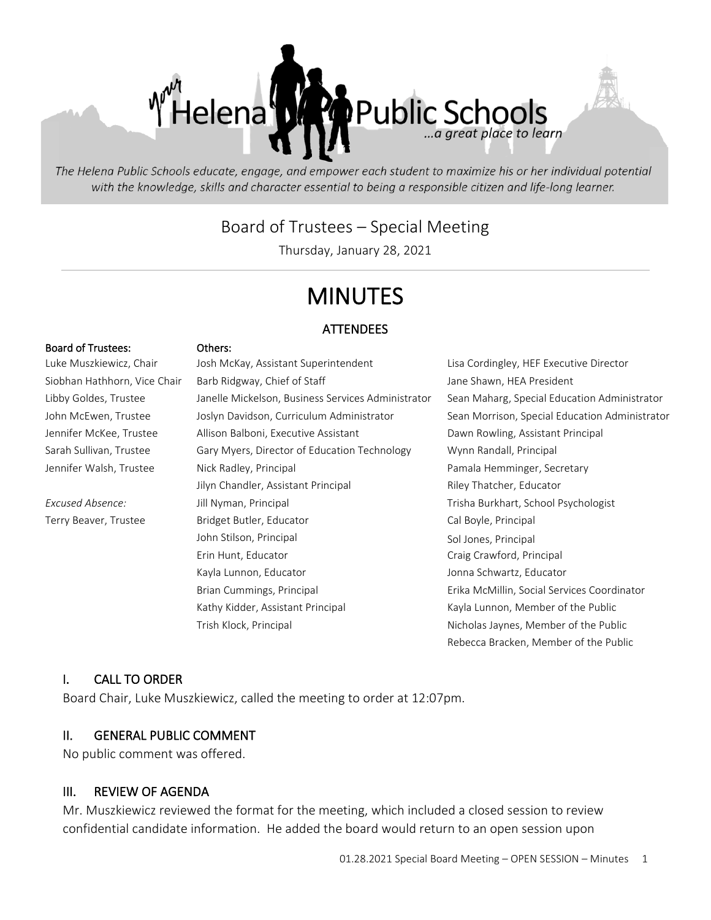

The Helena Public Schools educate, engage, and empower each student to maximize his or her individual potential with the knowledge, skills and character essential to being a responsible citizen and life-long learner.

## Board of Trustees – Special Meeting

Thursday, January 28, 2021

# MINUTES

#### **ATTENDEES**

#### Board of Trustees: Others:

Luke Muszkiewicz, Chair Mosh McKay, Assistant Superintendent Lisa Cordingley, HEF Executive Director Siobhan Hathhorn, Vice Chair Gharb Ridgway, Chief of Staff Jane Shawn, HEA President Libby Goldes, Trustee Janelle Mickelson, Business Services Administrator Sean Maharg, Special Education Administrator John McEwen, Trustee Solyn Davidson, Curriculum Administrator Sean Morrison, Special Education Administrator Jennifer McKee, Trustee Allison Balboni, Executive Assistant Dawn Rowling, Assistant Principal Sarah Sullivan, Trustee Gary Myers, Director of Education Technology Wynn Randall, Principal Jennifer Walsh, Trustee Nick Radley, Principal Pamala Hemminger, Secretary Jilyn Chandler, Assistant Principal **Riley Thatcher, Educator** *Excused Absence:* Jill Nyman, Principal Trisha Burkhart, School Psychologist Terry Beaver, Trustee **Bridget Butler, Educator** Cal Boyle, Principal John Stilson, Principal Sol Jones, Principal Erin Hunt, Educator Craig Crawford, Principal Kayla Lunnon, Educator **Johna Schwartz**, Educator Brian Cummings, Principal Erika McMillin, Social Services Coordinator Kathy Kidder, Assistant Principal Kayla Lunnon, Member of the Public Trish Klock, Principal **Nicholas Islams** Nicholas Jaynes, Member of the Public

Rebecca Bracken, Member of the Public

#### I. CALL TO ORDER

Board Chair, Luke Muszkiewicz, called the meeting to order at 12:07pm.

### II. GENERAL PUBLIC COMMENT

No public comment was offered.

#### III. REVIEW OF AGENDA

Mr. Muszkiewicz reviewed the format for the meeting, which included a closed session to review confidential candidate information. He added the board would return to an open session upon